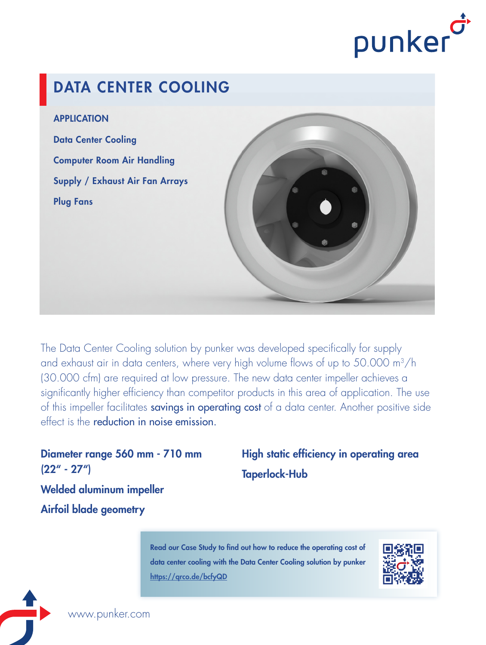

# DATA CENTER COOLING

APPLICATION

Data Center Cooling Computer Room Air Handling Supply / Exhaust Air Fan Arrays Plug Fans



The Data Center Cooling solution by punker was developed specifically for supply and exhaust air in data centers, where very high volume flows of up to 50.000 m<sup>3</sup>/h (30.000 cfm) are required at low pressure. The new data center impeller achieves a significantly higher efficiency than competitor products in this area of application. The use of this impeller facilitates savings in operating cost of a data center. Another positive side effect is the reduction in noise emission.

Diameter range 560 mm - 710 mm (22" - 27") Welded aluminum impeller Airfoil blade geometry

High static efficiency in operating area Taperlock-Hub

Read our Case Study to find out how to reduce the operating cost of data center cooling with the Data Center Cooling solution by punker https://qrco.de/bcfyQD



www.punker.com